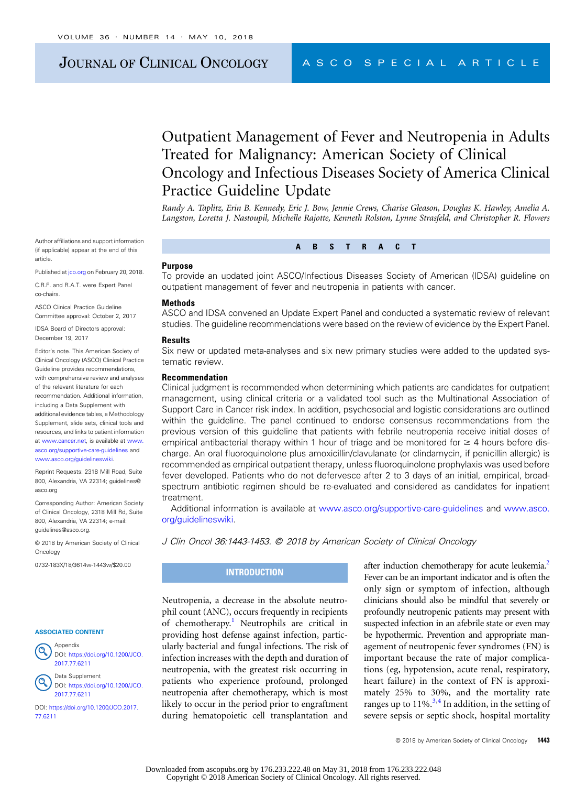# JOURNAL OF CLINICAL ONCOLOGY ASCO SPECIAL ARTICLE

Outpatient Management of Fever and Neutropenia in Adults Treated for Malignancy: American Society of Clinical Oncology and Infectious Diseases Society of America Clinical Practice Guideline Update

Randy A. Taplitz, Erin B. Kennedy, Eric J. Bow, Jennie Crews, Charise Gleason, Douglas K. Hawley, Amelia A. Langston, Loretta J. Nastoupil, Michelle Rajotte, Kenneth Rolston, Lynne Strasfeld, and Christopher R. Flowers

Author affiliations and support information (if applicable) appear at the end of this article.

Published at joo.org on February 20, 2018.

C.R.F. and R.A.T. were Expert Panel co-chairs.

ASCO Clinical Practice Guideline Committee approval: October 2, 2017

IDSA Board of Directors approval: December 19, 2017

Editor's note. This American Society of Clinical Oncology (ASCO) Clinical Practice Guideline provides recommendations, with comprehensive review and analyses of the relevant literature for each recommendation. Additional information, including a Data Supplement with additional evidence tables, a Methodology Supplement, slide sets, clinical tools and resources, and links to patient information at [www.cancer.net,](http://www.cancer.net) is available at [www.](http://www.asco.org/supportive-care-guidelines) [asco.org/supportive-care-guidelines](http://www.asco.org/supportive-care-guidelines) and [www.asco.org/guidelineswiki](http://www.asco.org/guidelineswiki).

Reprint Requests: 2318 Mill Road, Suite 800, Alexandria, VA 22314; guidelines@ asco.org

Corresponding Author: American Society of Clinical Oncology, 2318 Mill Rd, Suite 800, Alexandria, VA 22314; e-mail: [guidelines@asco.org.](mailto:guidelines@asco.org)

© 2018 by American Society of Clinical Oncology

0732-183X/18/3614w-1443w/\$20.00

#### ASSOCIATED CONTENT

#### Appendix  $\mathsf{Q}$ DOI: [https://doi.org/10.1200/JCO.](http://ascopubs.org/doi/full/10.1200/JCO.2017.77.6211)



Data Supplement DOI: [https://doi.org/10.1200/JCO.](http://ascopubs.org/doi/full/10.1200/JCO.2017.77.6211) [2017.77.6211](http://ascopubs.org/doi/full/10.1200/JCO.2017.77.6211)

DOI: [https://doi.org/10.1200/JCO.2017.](http://ascopubs.org/doi/full/10.1200/JCO.2017.77.6211) [77.6211](http://ascopubs.org/doi/full/10.1200/JCO.2017.77.6211)

#### ABSTRACT

#### Purpose

To provide an updated joint ASCO/Infectious Diseases Society of American (IDSA) guideline on outpatient management of fever and neutropenia in patients with cancer.

#### Methods

ASCO and IDSA convened an Update Expert Panel and conducted a systematic review of relevant studies. The guideline recommendations were based on the review of evidence by the Expert Panel.

#### **Results**

Six new or updated meta-analyses and six new primary studies were added to the updated systematic review.

#### Recommendation

Clinical judgment is recommended when determining which patients are candidates for outpatient management, using clinical criteria or a validated tool such as the Multinational Association of Support Care in Cancer risk index. In addition, psychosocial and logistic considerations are outlined within the guideline. The panel continued to endorse consensus recommendations from the previous version of this guideline that patients with febrile neutropenia receive initial doses of empirical antibacterial therapy within 1 hour of triage and be monitored for  $\geq 4$  hours before discharge. An oral fluoroquinolone plus amoxicillin/clavulanate (or clindamycin, if penicillin allergic) is recommended as empirical outpatient therapy, unless fluoroquinolone prophylaxis was used before fever developed. Patients who do not defervesce after 2 to 3 days of an initial, empirical, broadspectrum antibiotic regimen should be re-evaluated and considered as candidates for inpatient treatment.

Additional information is available at [www.asco.org/supportive-care-guidelines](http://www.asco.org/supportive-care-guidelines) and [www.asco.](http://www.asco.org/guidelineswiki) [org/guidelineswiki](http://www.asco.org/guidelineswiki).

J Clin Oncol 36:1443-1453. © 2018 by American Society of Clinical Oncology

#### **INTRODUCTION**

Neutropenia, a decrease in the absolute neutrophil count (ANC), occurs frequently in recipients of chemotherapy.<sup>[1](#page-9-0)</sup> Neutrophils are critical in providing host defense against infection, particularly bacterial and fungal infections. The risk of infection increases with the depth and duration of neutropenia, with the greatest risk occurring in patients who experience profound, prolonged neutropenia after chemotherapy, which is most likely to occur in the period prior to engraftment during hematopoietic cell transplantation and after induction chemotherapy for acute leukemia.<sup>[2](#page-9-0)</sup> Fever can be an important indicator and is often the only sign or symptom of infection, although clinicians should also be mindful that severely or profoundly neutropenic patients may present with suspected infection in an afebrile state or even may be hypothermic. Prevention and appropriate management of neutropenic fever syndromes (FN) is important because the rate of major complications (eg, hypotension, acute renal, respiratory, heart failure) in the context of FN is approximately 25% to 30%, and the mortality rate ranges up to  $11\%$ .<sup>[3,4](#page-9-0)</sup> In addition, in the setting of severe sepsis or septic shock, hospital mortality

© 2018 by American Society of Clinical Oncology 1443

Downloaded from ascopubs.org by 176.233.222.48 on May 31, 2018 from 176.233.222.048 Copyright © 2018 American Society of Clinical Oncology. All rights reserved.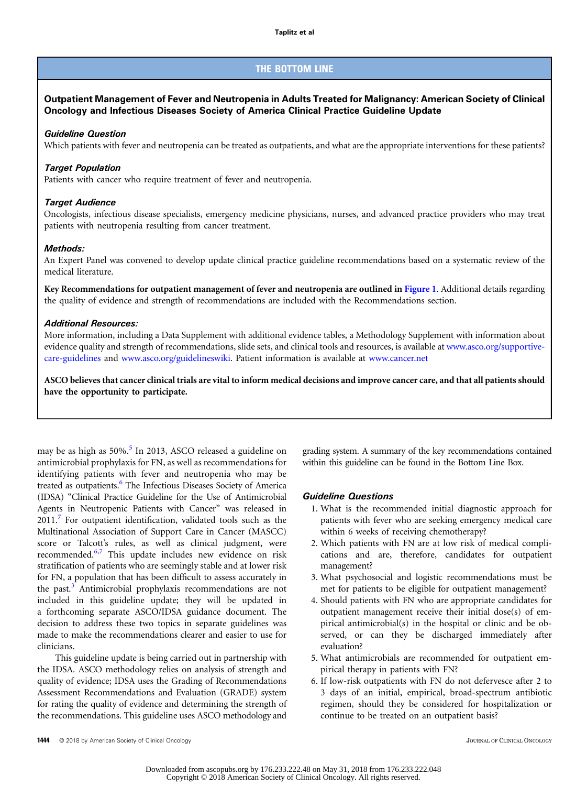## THE BOTTOM LINE

Outpatient Management of Fever and Neutropenia in Adults Treated for Malignancy: American Society of Clinical Oncology and Infectious Diseases Society of America Clinical Practice Guideline Update

### Guideline Question

Which patients with fever and neutropenia can be treated as outpatients, and what are the appropriate interventions for these patients?

### Target Population

Patients with cancer who require treatment of fever and neutropenia.

### Target Audience

Oncologists, infectious disease specialists, emergency medicine physicians, nurses, and advanced practice providers who may treat patients with neutropenia resulting from cancer treatment.

### Methods:

An Expert Panel was convened to develop update clinical practice guideline recommendations based on a systematic review of the medical literature.

Key Recommendations for outpatient management of fever and neutropenia are outlined in [Figure 1](#page-2-0). Additional details regarding the quality of evidence and strength of recommendations are included with the Recommendations section.

### Additional Resources:

More information, including a Data Supplement with additional evidence tables, a Methodology Supplement with information about evidence quality and strength of recommendations, slide sets, and clinical tools and resources, is available at [www.asco.org/supportive](http://www.asco.org/supportive-care-guidelines)[care-guidelines](http://www.asco.org/supportive-care-guidelines) and [www.asco.org/guidelineswiki.](http://www.asco.org/guidelineswiki) Patient information is available at [www.cancer.net](http://www.cancer.net)

ASCO believes that cancer clinical trials are vital to inform medical decisions and improve cancer care, and that all patients should have the opportunity to participate.

may be as high as [5](#page-9-0)0%.<sup>5</sup> In 2013, ASCO released a guideline on antimicrobial prophylaxis for FN, as well as recommendations for identifying patients with fever and neutropenia who may be treated as outpatients.<sup>[6](#page-9-0)</sup> The Infectious Diseases Society of America (IDSA) "Clinical Practice Guideline for the Use of Antimicrobial Agents in Neutropenic Patients with Cancer" was released in  $2011<sup>7</sup>$  For outpatient identification, validated tools such as the Multinational Association of Support Care in Cancer (MASCC) score or Talcott's rules, as well as clinical judgment, were recommended.<sup>[6](#page-9-0),[7](#page-9-0)</sup> This update includes new evidence on risk stratification of patients who are seemingly stable and at lower risk for FN, a population that has been difficult to assess accurately in the past.<sup>[3](#page-9-0)</sup> Antimicrobial prophylaxis recommendations are not included in this guideline update; they will be updated in a forthcoming separate ASCO/IDSA guidance document. The decision to address these two topics in separate guidelines was made to make the recommendations clearer and easier to use for clinicians.

This guideline update is being carried out in partnership with the IDSA. ASCO methodology relies on analysis of strength and quality of evidence; IDSA uses the Grading of Recommendations Assessment Recommendations and Evaluation (GRADE) system for rating the quality of evidence and determining the strength of the recommendations. This guideline uses ASCO methodology and

grading system. A summary of the key recommendations contained within this guideline can be found in the Bottom Line Box.

### Guideline Questions

- 1. What is the recommended initial diagnostic approach for patients with fever who are seeking emergency medical care within 6 weeks of receiving chemotherapy?
- 2. Which patients with FN are at low risk of medical complications and are, therefore, candidates for outpatient management?
- 3. What psychosocial and logistic recommendations must be met for patients to be eligible for outpatient management?
- 4. Should patients with FN who are appropriate candidates for outpatient management receive their initial dose(s) of empirical antimicrobial(s) in the hospital or clinic and be observed, or can they be discharged immediately after evaluation?
- 5. What antimicrobials are recommended for outpatient empirical therapy in patients with FN?
- 6. If low-risk outpatients with FN do not defervesce after 2 to 3 days of an initial, empirical, broad-spectrum antibiotic regimen, should they be considered for hospitalization or continue to be treated on an outpatient basis?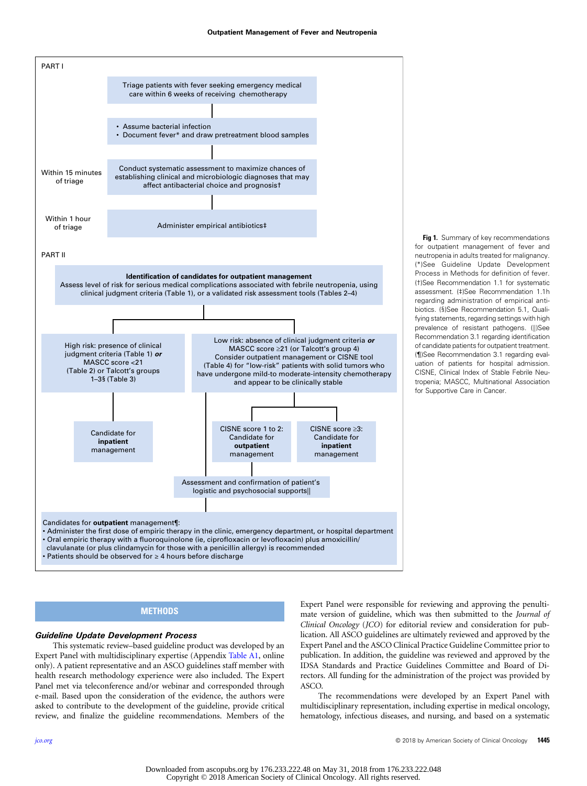<span id="page-2-0"></span>

### **METHODS**

#### Guideline Update Development Process

This systematic review–based guideline product was developed by an Expert Panel with multidisciplinary expertise (Appendix [Table A1,](#page-12-0) online only). A patient representative and an ASCO guidelines staff member with health research methodology experience were also included. The Expert Panel met via teleconference and/or webinar and corresponded through e-mail. Based upon the consideration of the evidence, the authors were asked to contribute to the development of the guideline, provide critical review, and finalize the guideline recommendations. Members of the Expert Panel were responsible for reviewing and approving the penultimate version of guideline, which was then submitted to the Journal of Clinical Oncology (JCO) for editorial review and consideration for publication. All ASCO guidelines are ultimately reviewed and approved by the Expert Panel and the ASCO Clinical Practice Guideline Committee prior to publication. In addition, the guideline was reviewed and approved by the IDSA Standards and Practice Guidelines Committee and Board of Directors. All funding for the administration of the project was provided by ASCO.

The recommendations were developed by an Expert Panel with multidisciplinary representation, including expertise in medical oncology, hematology, infectious diseases, and nursing, and based on a systematic

[jco.org](http://jco.org) © 2018 by American Society of Clinical Oncology 1445

Fig 1. Summary of key recommendations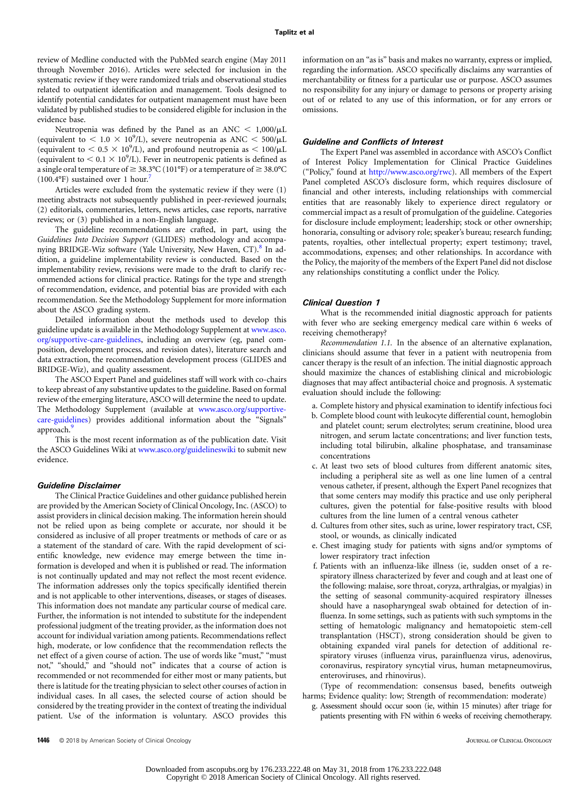review of Medline conducted with the PubMed search engine (May 2011 through November 2016). Articles were selected for inclusion in the systematic review if they were randomized trials and observational studies related to outpatient identification and management. Tools designed to identify potential candidates for outpatient management must have been validated by published studies to be considered eligible for inclusion in the evidence base.

Neutropenia was defined by the Panel as an ANC  $< 1,000/\mu L$ (equivalent to <  $1.0 \times 10^9$ /L), severe neutropenia as ANC <  $500/\mu$ L (equivalent to  $< 0.5 \times 10^9$ /L), and profound neutropenia as  $< 100$ / $\mu$ L (equivalent to  $< 0.1 \times 10^9$ /L). Fever in neutropenic patients is defined as a single oral temperature of  $\geq 38.3^{\circ}$ C (101°F) or a temperature of  $\geq 38.0^{\circ}$ C  $(100.4\text{°F})$  sustained over 1 hour.<sup>[7](#page-9-0)</sup>

Articles were excluded from the systematic review if they were (1) meeting abstracts not subsequently published in peer-reviewed journals; (2) editorials, commentaries, letters, news articles, case reports, narrative reviews; or (3) published in a non-English language.

The guideline recommendations are crafted, in part, using the Guidelines Into Decision Support (GLIDES) methodology and accompa-nying BRIDGE-Wiz software (Yale University, New Haven, CT).<sup>[8](#page-10-0)</sup> In addition, a guideline implementability review is conducted. Based on the implementability review, revisions were made to the draft to clarify recommended actions for clinical practice. Ratings for the type and strength of recommendation, evidence, and potential bias are provided with each recommendation. See the Methodology Supplement for more information about the ASCO grading system.

Detailed information about the methods used to develop this guideline update is available in the Methodology Supplement at [www.asco.](http://www.asco.org/supportive-care-guidelines) [org/supportive-care-guidelines](http://www.asco.org/supportive-care-guidelines), including an overview (eg, panel composition, development process, and revision dates), literature search and data extraction, the recommendation development process (GLIDES and BRIDGE-Wiz), and quality assessment.

The ASCO Expert Panel and guidelines staff will work with co-chairs to keep abreast of any substantive updates to the guideline. Based on formal review of the emerging literature, ASCO will determine the need to update. The Methodology Supplement (available at [www.asco.org/supportive](http://www.asco.org/supportive-care-guidelines)[care-guidelines\)](http://www.asco.org/supportive-care-guidelines) provides additional information about the "Signals" approach.<sup>[9](#page-10-0)</sup>

This is the most recent information as of the publication date. Visit the ASCO Guidelines Wiki at [www.asco.org/guidelineswiki](http://www.asco.org/guidelineswiki) to submit new evidence.

### Guideline Disclaimer

The Clinical Practice Guidelines and other guidance published herein are provided by the American Society of Clinical Oncology, Inc. (ASCO) to assist providers in clinical decision making. The information herein should not be relied upon as being complete or accurate, nor should it be considered as inclusive of all proper treatments or methods of care or as a statement of the standard of care. With the rapid development of scientific knowledge, new evidence may emerge between the time information is developed and when it is published or read. The information is not continually updated and may not reflect the most recent evidence. The information addresses only the topics specifically identified therein and is not applicable to other interventions, diseases, or stages of diseases. This information does not mandate any particular course of medical care. Further, the information is not intended to substitute for the independent professional judgment of the treating provider, as the information does not account for individual variation among patients. Recommendations reflect high, moderate, or low confidence that the recommendation reflects the net effect of a given course of action. The use of words like "must," "must not," "should," and "should not" indicates that a course of action is recommended or not recommended for either most or many patients, but there is latitude for the treating physician to select other courses of action in individual cases. In all cases, the selected course of action should be considered by the treating provider in the context of treating the individual patient. Use of the information is voluntary. ASCO provides this

information on an "as is" basis and makes no warranty, express or implied, regarding the information. ASCO specifically disclaims any warranties of merchantability or fitness for a particular use or purpose. ASCO assumes no responsibility for any injury or damage to persons or property arising out of or related to any use of this information, or for any errors or omissions.

#### Guideline and Conflicts of Interest

The Expert Panel was assembled in accordance with ASCO's Conflict of Interest Policy Implementation for Clinical Practice Guidelines ("Policy," found at <http://www.asco.org/rwc>). All members of the Expert Panel completed ASCO's disclosure form, which requires disclosure of financial and other interests, including relationships with commercial entities that are reasonably likely to experience direct regulatory or commercial impact as a result of promulgation of the guideline. Categories for disclosure include employment; leadership; stock or other ownership; honoraria, consulting or advisory role; speaker's bureau; research funding; patents, royalties, other intellectual property; expert testimony; travel, accommodations, expenses; and other relationships. In accordance with the Policy, the majority of the members of the Expert Panel did not disclose any relationships constituting a conflict under the Policy.

#### Clinical Question 1

What is the recommended initial diagnostic approach for patients with fever who are seeking emergency medical care within 6 weeks of receiving chemotherapy?

Recommendation 1.1. In the absence of an alternative explanation, clinicians should assume that fever in a patient with neutropenia from cancer therapy is the result of an infection. The initial diagnostic approach should maximize the chances of establishing clinical and microbiologic diagnoses that may affect antibacterial choice and prognosis. A systematic evaluation should include the following:

- a. Complete history and physical examination to identify infectious foci
- b. Complete blood count with leukocyte differential count, hemoglobin and platelet count; serum electrolytes; serum creatinine, blood urea nitrogen, and serum lactate concentrations; and liver function tests, including total bilirubin, alkaline phosphatase, and transaminase concentrations
- c. At least two sets of blood cultures from different anatomic sites, including a peripheral site as well as one line lumen of a central venous catheter, if present, although the Expert Panel recognizes that that some centers may modify this practice and use only peripheral cultures, given the potential for false-positive results with blood cultures from the line lumen of a central venous catheter
- d. Cultures from other sites, such as urine, lower respiratory tract, CSF, stool, or wounds, as clinically indicated
- e. Chest imaging study for patients with signs and/or symptoms of lower respiratory tract infection
- f. Patients with an influenza-like illness (ie, sudden onset of a respiratory illness characterized by fever and cough and at least one of the following: malaise, sore throat, coryza, arthralgias, or myalgias) in the setting of seasonal community-acquired respiratory illnesses should have a nasopharyngeal swab obtained for detection of influenza. In some settings, such as patients with such symptoms in the setting of hematologic malignancy and hematopoietic stem-cell transplantation (HSCT), strong consideration should be given to obtaining expanded viral panels for detection of additional respiratory viruses (influenza virus, parainfluenza virus, adenovirus, coronavirus, respiratory syncytial virus, human metapneumovirus, enteroviruses, and rhinovirus).

(Type of recommendation: consensus based, benefits outweigh harms; Evidence quality: low; Strength of recommendation: moderate)

g. Assessment should occur soon (ie, within 15 minutes) after triage for patients presenting with FN within 6 weeks of receiving chemotherapy.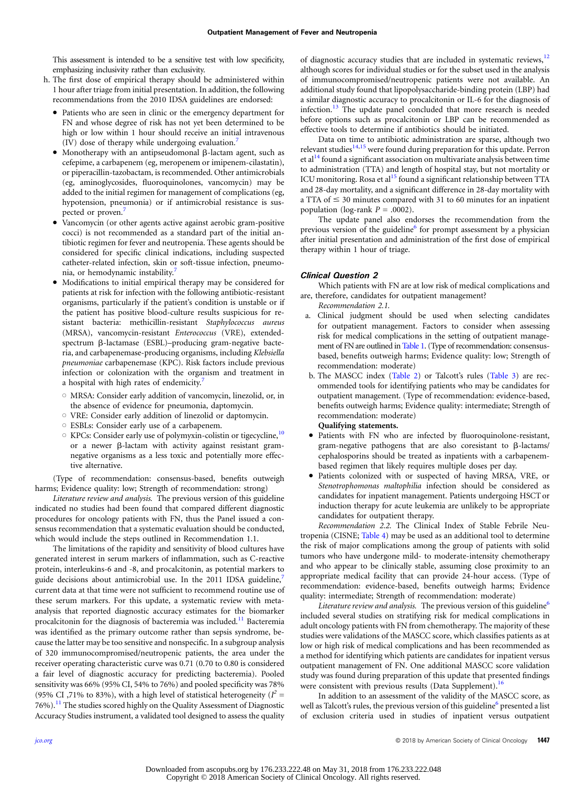This assessment is intended to be a sensitive test with low specificity, emphasizing inclusivity rather than exclusivity.

- h. The first dose of empirical therapy should be administered within 1 hour after triage from initial presentation. In addition, the following recommendations from the 2010 IDSA guidelines are endorsed:
	- Patients who are seen in clinic or the emergency department for FN and whose degree of risk has not yet been determined to be high or low within 1 hour should receive an initial intravenous (IV) dose of therapy while undergoing evaluation.[7](#page-9-0)
	- Monotherapy with an antipseudomonal  $\beta$ -lactam agent, such as cefepime, a carbapenem (eg, meropenem or imipenem-cilastatin), or piperacillin-tazobactam, is recommended. Other antimicrobials (eg, aminoglycosides, fluoroquinolones, vancomycin) may be added to the initial regimen for management of complications (eg, hypotension, pneumonia) or if antimicrobial resistance is sus-pected or proven.<sup>[7](#page-9-0)</sup>
	- Vancomycin (or other agents active against aerobic gram-positive cocci) is not recommended as a standard part of the initial antibiotic regimen for fever and neutropenia. These agents should be considered for specific clinical indications, including suspected catheter-related infection, skin or soft-tissue infection, pneumonia, or hemodynamic instability.<sup>7</sup>
	- Modifications to initial empirical therapy may be considered for patients at risk for infection with the following antibiotic-resistant organisms, particularly if the patient's condition is unstable or if the patient has positive blood-culture results suspicious for resistant bacteria: methicillin-resistant Staphylococcus aureus (MRSA), vancomycin-resistant Enterococcus (VRE), extendedspectrum  $\beta$ -lactamase (ESBL)-producing gram-negative bacteria, and carbapenemase-producing organisms, including Klebsiella pneumoniae carbapenemase (KPC). Risk factors include previous infection or colonization with the organism and treatment in a hospital with high rates of endemicity.<sup>[7](#page-9-0)</sup>
		- <sup>s</sup> MRSA: Consider early addition of vancomycin, linezolid, or, in the absence of evidence for pneumonia, daptomycin.
		- $\circ$  VRE: Consider early addition of linezolid or daptomycin.
		- <sup>s</sup> ESBLs: Consider early use of a carbapenem.
		- $\circ$  KPCs: Consider early use of polymyxin-colistin or tigecycline,  $10$ or a newer  $\beta$ -lactam with activity against resistant gramnegative organisms as a less toxic and potentially more effective alternative.

(Type of recommendation: consensus-based, benefits outweigh harms; Evidence quality: low; Strength of recommendation: strong)

Literature review and analysis. The previous version of this guideline indicated no studies had been found that compared different diagnostic procedures for oncology patients with FN, thus the Panel issued a consensus recommendation that a systematic evaluation should be conducted, which would include the steps outlined in Recommendation 1.1.

The limitations of the rapidity and sensitivity of blood cultures have generated interest in serum markers of inflammation, such as C-reactive protein, interleukins-6 and -8, and procalcitonin, as potential markers to guide decisions about antimicrobial use. In the 2011 IDSA guideline,<sup>[7](#page-9-0)</sup> current data at that time were not sufficient to recommend routine use of these serum markers. For this update, a systematic review with metaanalysis that reported diagnostic accuracy estimates for the biomarker procalcitonin for the diagnosis of bacteremia was included.<sup>[11](#page-10-0)</sup> Bacteremia was identified as the primary outcome rather than sepsis syndrome, because the latter may be too sensitive and nonspecific. In a subgroup analysis of 320 immunocompromised/neutropenic patients, the area under the receiver operating characteristic curve was 0.71 (0.70 to 0.80 is considered a fair level of diagnostic accuracy for predicting bacteremia). Pooled sensitivity was 66% (95% CI, 54% to 76%) and pooled specificity was 78% (95% CI ,71% to 83%), with a high level of statistical heterogeneity ( $I^2$  = 76%).<sup>[11](#page-10-0)</sup> The studies scored highly on the Quality Assessment of Diagnostic Accuracy Studies instrument, a validated tool designed to assess the quality of diagnostic accuracy studies that are included in systematic reviews, $12$ although scores for individual studies or for the subset used in the analysis of immunocompromised/neutropenic patients were not available. An additional study found that lipopolysaccharide-binding protein (LBP) had a similar diagnostic accuracy to procalcitonin or IL-6 for the diagnosis of infection.<sup>[13](#page-10-0)</sup> The update panel concluded that more research is needed before options such as procalcitonin or LBP can be recommended as effective tools to determine if antibiotics should be initiated.

Data on time to antibiotic administration are sparse, although two relevant studies $14,15$  $14,15$  $14,15$  were found during preparation for this update. Perron  $et al<sup>14</sup> found a significant association on multivariate analysis between time$  $et al<sup>14</sup> found a significant association on multivariate analysis between time$  $et al<sup>14</sup> found a significant association on multivariate analysis between time$ to administration (TTA) and length of hospital stay, but not mortality or ICU monitoring. Rosa et al<sup>15</sup> found a significant relationship between TTA and 28-day mortality, and a significant difference in 28-day mortality with a TTA of  $\leq$  30 minutes compared with 31 to 60 minutes for an inpatient population (log-rank  $P = .0002$ ).

The update panel also endorses the recommendation from the previous version of the guideline<sup>[6](#page-9-0)</sup> for prompt assessment by a physician after initial presentation and administration of the first dose of empirical therapy within 1 hour of triage.

#### Clinical Question 2

Which patients with FN are at low risk of medical complications and are, therefore, candidates for outpatient management?

- Recommendation 2.1.
- a. Clinical judgment should be used when selecting candidates for outpatient management. Factors to consider when assessing risk for medical complications in the setting of outpatient management of FN are outlined in [Table 1.](#page-5-0) (Type of recommendation: consensusbased, benefits outweigh harms; Evidence quality: low; Strength of recommendation: moderate)
- b. The MASCC index ([Table 2](#page-6-0)) or Talcott's rules [\(Table 3](#page-7-0)) are recommended tools for identifying patients who may be candidates for outpatient management. (Type of recommendation: evidence-based, benefits outweigh harms; Evidence quality: intermediate; Strength of recommendation: moderate) Qualifying statements.
- Patients with FN who are infected by fluoroquinolone-resistant, gram-negative pathogens that are also coresistant to  $\beta$ -lactams/ cephalosporins should be treated as inpatients with a carbapenembased regimen that likely requires multiple doses per day.
- Patients colonized with or suspected of having MRSA, VRE, or Stenotrophomonas maltophilia infection should be considered as candidates for inpatient management. Patients undergoing HSCT or induction therapy for acute leukemia are unlikely to be appropriate candidates for outpatient therapy.

Recommendation 2.2. The Clinical Index of Stable Febrile Neutropenia (CISNE; [Table 4](#page-7-0)) may be used as an additional tool to determine the risk of major complications among the group of patients with solid tumors who have undergone mild- to moderate-intensity chemotherapy and who appear to be clinically stable, assuming close proximity to an appropriate medical facility that can provide 24-hour access. (Type of recommendation: evidence-based, benefits outweigh harms; Evidence quality: intermediate; Strength of recommendation: moderate)

Literature review and analysis. The previous version of this guideline<sup>[6](#page-9-0)</sup> included several studies on stratifying risk for medical complications in adult oncology patients with FN from chemotherapy. The majority of these studies were validations of the MASCC score, which classifies patients as at low or high risk of medical complications and has been recommended as a method for identifying which patients are candidates for inpatient versus outpatient management of FN. One additional MASCC score validation study was found during preparation of this update that presented findings were consistent with previous results (Data Supplement).<sup>[16](#page-10-0)</sup>

In addition to an assessment of the validity of the MASCC score, as well as Talcott's rules, the previous version of this guideline<sup>[6](#page-9-0)</sup> presented a list of exclusion criteria used in studies of inpatient versus outpatient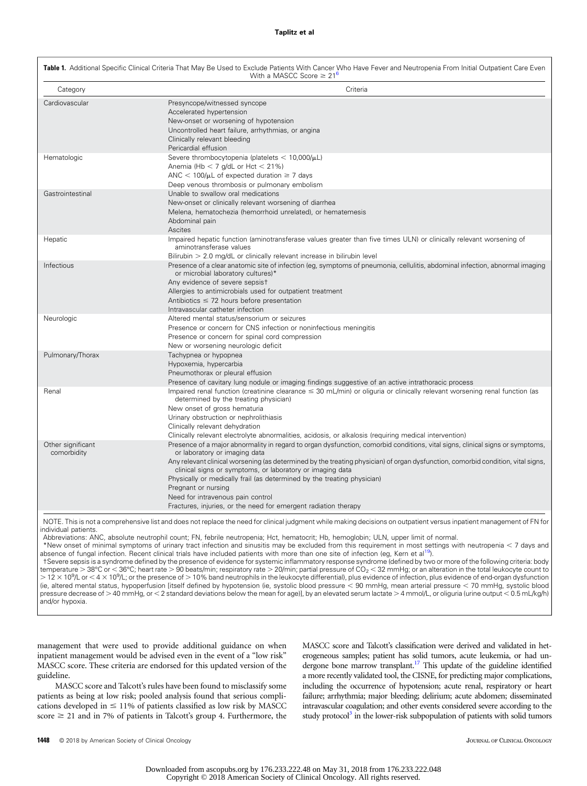#### Taplitz et al

<span id="page-5-0"></span>

|                                  | Table 1. Additional Specific Clinical Criteria That May Be Used to Exclude Patients With Cancer Who Have Fever and Neutropenia From Initial Outpatient Care Even<br>With a MASCC Score $\geq 21^6$                                                                                                                                                                                                                                                                                                                                                                        |
|----------------------------------|---------------------------------------------------------------------------------------------------------------------------------------------------------------------------------------------------------------------------------------------------------------------------------------------------------------------------------------------------------------------------------------------------------------------------------------------------------------------------------------------------------------------------------------------------------------------------|
| Category                         | Criteria                                                                                                                                                                                                                                                                                                                                                                                                                                                                                                                                                                  |
| Cardiovascular                   | Presyncope/witnessed syncope<br>Accelerated hypertension<br>New-onset or worsening of hypotension<br>Uncontrolled heart failure, arrhythmias, or angina<br>Clinically relevant bleeding<br>Pericardial effusion                                                                                                                                                                                                                                                                                                                                                           |
| Hematologic                      | Severe thrombocytopenia (platelets $<$ 10,000/ $\mu$ L)<br>Anemia (Hb $<$ 7 g/dL or Hct $<$ 21%)<br>ANC $<$ 100/ $\mu$ L of expected duration $\geq$ 7 days<br>Deep venous thrombosis or pulmonary embolism                                                                                                                                                                                                                                                                                                                                                               |
| Gastrointestinal                 | Unable to swallow oral medications<br>New-onset or clinically relevant worsening of diarrhea<br>Melena, hematochezia (hemorrhoid unrelated), or hematemesis<br>Abdominal pain<br>Ascites                                                                                                                                                                                                                                                                                                                                                                                  |
| Hepatic                          | Impaired hepatic function (aminotransferase values greater than five times ULN) or clinically relevant worsening of<br>aminotransferase values<br>Bilirubin $> 2.0$ mg/dL or clinically relevant increase in bilirubin level                                                                                                                                                                                                                                                                                                                                              |
| Infectious                       | Presence of a clear anatomic site of infection (eg, symptoms of pneumonia, cellulitis, abdominal infection, abnormal imaging<br>or microbial laboratory cultures)*<br>Any evidence of severe sepsist<br>Allergies to antimicrobials used for outpatient treatment<br>Antibiotics $\leq$ 72 hours before presentation<br>Intravascular catheter infection                                                                                                                                                                                                                  |
| Neurologic                       | Altered mental status/sensorium or seizures<br>Presence or concern for CNS infection or noninfectious meningitis<br>Presence or concern for spinal cord compression<br>New or worsening neurologic deficit                                                                                                                                                                                                                                                                                                                                                                |
| Pulmonary/Thorax                 | Tachypnea or hypopnea<br>Hypoxemia, hypercarbia<br>Pneumothorax or pleural effusion<br>Presence of cavitary lung nodule or imaging findings suggestive of an active intrathoracic process                                                                                                                                                                                                                                                                                                                                                                                 |
| Renal                            | Impaired renal function (creatinine clearance $\leq$ 30 mL/min) or oliguria or clinically relevant worsening renal function (as<br>determined by the treating physician)<br>New onset of gross hematuria<br>Urinary obstruction or nephrolithiasis<br>Clinically relevant dehydration<br>Clinically relevant electrolyte abnormalities, acidosis, or alkalosis (requiring medical intervention)                                                                                                                                                                           |
| Other significant<br>comorbidity | Presence of a major abnormality in regard to organ dysfunction, comorbid conditions, vital signs, clinical signs or symptoms,<br>or laboratory or imaging data<br>Any relevant clinical worsening (as determined by the treating physician) of organ dysfunction, comorbid condition, vital signs,<br>clinical signs or symptoms, or laboratory or imaging data<br>Physically or medically frail (as determined by the treating physician)<br>Pregnant or nursing<br>Need for intravenous pain control<br>Fractures, injuries, or the need for emergent radiation therapy |

NOTE. This is not a comprehensive list and does not replace the need for clinical judgment while making decisions on outpatient versus inpatient management of FN for individual patients.

Abbreviations: ANC, absolute neutrophil count; FN, febrile neutropenia; Hct, hematocrit; Hb, hemoglobin; ULN, upper limit of normal. \*New onset of minimal symptoms of urinary tract infection and sinusitis may be excluded from this requirement in most settings with neutropenia < 7 days and

absence of fungal infection. Recent clinical trials have included patients with more than one site of infection (eg, Kern et al<sup>19</sup>).

†Severe sepsis is a syndrome defined by the presence of evidence for systemic inflammatory response syndrome (defined by two or more of the following criteria: body temperature > 38°C or < 36°C; heart rate > 90 beats/min; respiratory rate > 20/min; partial pressure of CO<sub>2</sub> < 32 mmHg; or an alteration in the total leukocyte count to  $>$  12  $\times$  10<sup>9</sup>/L or  $<$  4  $\times$  10<sup>9</sup>/L; or the presence of  $>$  10% band neutrophils in the leukocyte differential), plus evidence of infection, plus evidence of end-organ dysfunction (ie, altered mental status, hypoperfusion [itself defined by hypotension (ie, systolic blood pressure < 90 mmHg, mean arterial pressure < 70 mmHg, systolic blood pressure decrease of > 40 mmHg, or < 2 standard deviations below the mean for age)], by an elevated serum lactate > 4 mmol/L, or oliguria (urine output < 0.5 mL/kg/h) and/or hypoxia.

management that were used to provide additional guidance on when inpatient management would be advised even in the event of a "low risk" MASCC score. These criteria are endorsed for this updated version of the guideline.

MASCC score and Talcott's rules have been found to misclassify some patients as being at low risk; pooled analysis found that serious complications developed in  $\leq 11\%$  of patients classified as low risk by MASCC score  $\geq$  21 and in 7% of patients in Talcott's group 4. Furthermore, the MASCC score and Talcott's classification were derived and validated in heterogeneous samples; patient has solid tumors, acute leukemia, or had undergone bone marrow transplant.<sup>17</sup> This update of the guideline identified a more recently validated tool, the CISNE, for predicting major complications, including the occurrence of hypotension; acute renal, respiratory or heart failure; arrhythmia; major bleeding; delirium; acute abdomen; disseminated intravascular coagulation; and other events considered severe according to the study protocol $3$  in the lower-risk subpopulation of patients with solid tumors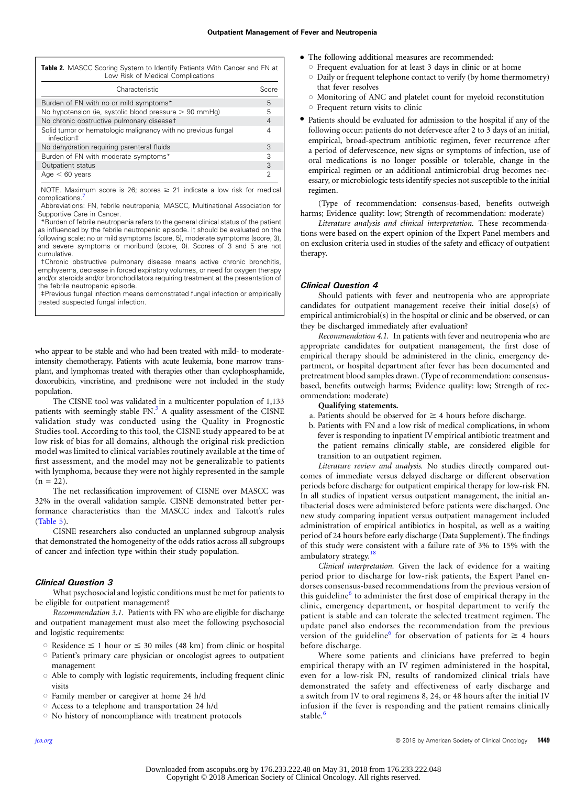<span id="page-6-0"></span>

|  | <b>Table 2.</b> MASCC Scoring System to Identify Patients With Cancer and FN at |  |
|--|---------------------------------------------------------------------------------|--|
|  | Low Risk of Medical Complications                                               |  |

| Characteristic                                                              | Score |
|-----------------------------------------------------------------------------|-------|
| Burden of FN with no or mild symptoms*                                      | 5     |
| No hypotension (ie, systolic blood pressure $> 90$ mmHg)                    | 5     |
| No chronic obstructive pulmonary diseaset                                   | 4     |
| Solid tumor or hematologic malignancy with no previous fungal<br>infection‡ |       |
| No dehydration requiring parenteral fluids                                  | 3     |
| Burden of FN with moderate symptoms*                                        | 3     |
| Outpatient status                                                           | 3     |
| Age $< 60$ years                                                            | 2     |

NOTE. Maximum score is 26; scores  $\geq$  21 indicate a low risk for medical complications.

Abbreviations: FN, febrile neutropenia; MASCC, Multinational Association for Supportive Care in Cancer.

\*Burden of febrile neutropenia refers to the general clinical status of the patient as influenced by the febrile neutropenic episode. It should be evaluated on the following scale: no or mild symptoms (score, 5), moderate symptoms (score, 3), and severe symptoms or moribund (score, 0). Scores of 3 and 5 are not cumulative.

†Chronic obstructive pulmonary disease means active chronic bronchitis, emphysema, decrease in forced expiratory volumes, or need for oxygen therapy and/or steroids and/or bronchodilators requiring treatment at the presentation of the febrile neutropenic episode.

‡Previous fungal infection means demonstrated fungal infection or empirically treated suspected fungal infection.

who appear to be stable and who had been treated with mild- to moderateintensity chemotherapy. Patients with acute leukemia, bone marrow transplant, and lymphomas treated with therapies other than cyclophosphamide, doxorubicin, vincristine, and prednisone were not included in the study population.

The CISNE tool was validated in a multicenter population of 1,133 patients with seemingly stable  $FN<sup>3</sup>$  $FN<sup>3</sup>$  $FN<sup>3</sup>$ . A quality assessment of the CISNE validation study was conducted using the Quality in Prognostic Studies tool. According to this tool, the CISNE study appeared to be at low risk of bias for all domains, although the original risk prediction model was limited to clinical variables routinely available at the time of first assessment, and the model may not be generalizable to patients with lymphoma, because they were not highly represented in the sample  $(n = 22)$ .

The net reclassification improvement of CISNE over MASCC was 32% in the overall validation sample. CISNE demonstrated better performance characteristics than the MASCC index and Talcott's rules ([Table 5\)](#page-8-0).

CISNE researchers also conducted an unplanned subgroup analysis that demonstrated the homogeneity of the odds ratios across all subgroups of cancer and infection type within their study population.

#### Clinical Question 3

What psychosocial and logistic conditions must be met for patients to be eligible for outpatient management?

Recommendation 3.1. Patients with FN who are eligible for discharge and outpatient management must also meet the following psychosocial and logistic requirements:

- $\circ$  Residence  $\leq$  1 hour or  $\leq$  30 miles (48 km) from clinic or hospital
- $\circ$  Patient's primary care physician or oncologist agrees to outpatient management
- $\circ$  Able to comply with logistic requirements, including frequent clinic visits
- $\circ$  Family member or caregiver at home 24 h/d
- $\circ$  Access to a telephone and transportation 24 h/d
- $\circ$  No history of noncompliance with treatment protocols
- The following additional measures are recommended:
	- $\circ$  Frequent evaluation for at least 3 days in clinic or at home
	- $\circ$  Daily or frequent telephone contact to verify (by home thermometry) that fever resolves
	- $\circ$  Monitoring of ANC and platelet count for myeloid reconstitution
	- $\circ$  Frequent return visits to clinic
- Patients should be evaluated for admission to the hospital if any of the following occur: patients do not defervesce after 2 to 3 days of an initial, empirical, broad-spectrum antibiotic regimen, fever recurrence after a period of defervescence, new signs or symptoms of infection, use of oral medications is no longer possible or tolerable, change in the empirical regimen or an additional antimicrobial drug becomes necessary, or microbiologic tests identify species not susceptible to the initial regimen.

(Type of recommendation: consensus-based, benefits outweigh harms; Evidence quality: low; Strength of recommendation: moderate)

Literature analysis and clinical interpretation. These recommendations were based on the expert opinion of the Expert Panel members and on exclusion criteria used in studies of the safety and efficacy of outpatient therapy.

#### Clinical Question 4

Should patients with fever and neutropenia who are appropriate candidates for outpatient management receive their initial dose(s) of empirical antimicrobial(s) in the hospital or clinic and be observed, or can they be discharged immediately after evaluation?

Recommendation 4.1. In patients with fever and neutropenia who are appropriate candidates for outpatient management, the first dose of empirical therapy should be administered in the clinic, emergency department, or hospital department after fever has been documented and pretreatment blood samples drawn. (Type of recommendation: consensusbased, benefits outweigh harms; Evidence quality: low; Strength of recommendation: moderate)

#### Qualifying statements.

- a. Patients should be observed for  $\geq 4$  hours before discharge.
- b. Patients with FN and a low risk of medical complications, in whom fever is responding to inpatient IV empirical antibiotic treatment and the patient remains clinically stable, are considered eligible for transition to an outpatient regimen.

Literature review and analysis. No studies directly compared outcomes of immediate versus delayed discharge or different observation periods before discharge for outpatient empirical therapy for low-risk FN. In all studies of inpatient versus outpatient management, the initial antibacterial doses were administered before patients were discharged. One new study comparing inpatient versus outpatient management included administration of empirical antibiotics in hospital, as well as a waiting period of 24 hours before early discharge (Data Supplement). The findings of this study were consistent with a failure rate of 3% to 15% with the ambulatory strategy. $\frac{18}{3}$  $\frac{18}{3}$  $\frac{18}{3}$ 

Clinical interpretation. Given the lack of evidence for a waiting period prior to discharge for low-risk patients, the Expert Panel endorses consensus-based recommendations from the previous version of this guideline $<sup>6</sup>$  $<sup>6</sup>$  $<sup>6</sup>$  to administer the first dose of empirical therapy in the</sup> clinic, emergency department, or hospital department to verify the patient is stable and can tolerate the selected treatment regimen. The update panel also endorses the recommendation from the previous version of the guideline<sup>[6](#page-9-0)</sup> for observation of patients for  $\geq 4$  hours before discharge.

Where some patients and clinicians have preferred to begin empirical therapy with an IV regimen administered in the hospital, even for a low-risk FN, results of randomized clinical trials have demonstrated the safety and effectiveness of early discharge and a switch from IV to oral regimens 8, 24, or 48 hours after the initial IV infusion if the fever is responding and the patient remains clinically stable.<sup>[6](#page-9-0)</sup>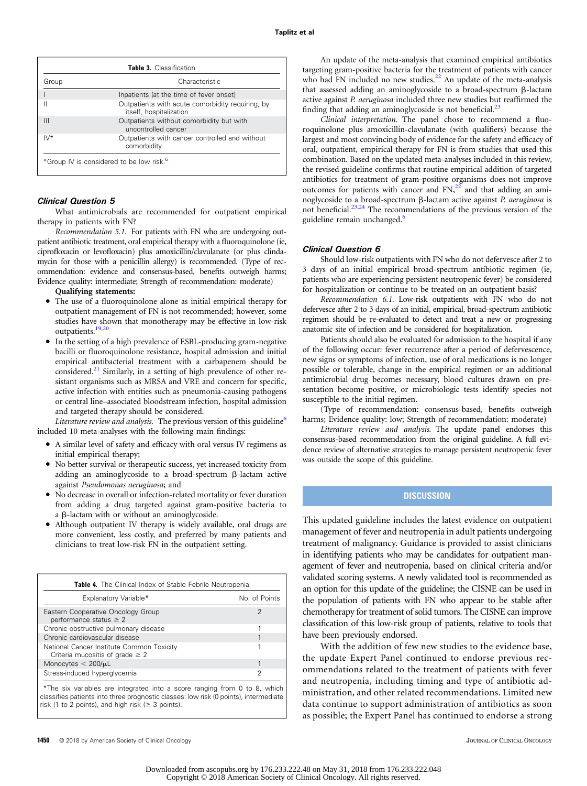<span id="page-7-0"></span>

| Group | Characteristic                                                              |
|-------|-----------------------------------------------------------------------------|
|       | Inpatients (at the time of fever onset)                                     |
|       | Outpatients with acute comorbidity requiring, by<br>itself, hospitalization |
| III   | Outpatients without comorbidity but with<br>uncontrolled cancer             |
| $N^*$ | Outpatients with cancer controlled and without<br>comorbidity               |

#### Clinical Question 5

What antimicrobials are recommended for outpatient empirical therapy in patients with FN?

Recommendation 5.1. For patients with FN who are undergoing outpatient antibiotic treatment, oral empirical therapy with a fluoroquinolone (ie, ciprofloxacin or levofloxacin) plus amoxicillin/clavulanate (or plus clindamycin for those with a penicillin allergy) is recommended. (Type of recommendation: evidence and consensus-based, benefits outweigh harms; Evidence quality: intermediate; Strength of recommendation: moderate)

#### Qualifying statements:

- The use of a fluoroquinolone alone as initial empirical therapy for outpatient management of FN is not recommended; however, some studies have shown that monotherapy may be effective in low-risk outpatients.<sup>[19,20](#page-10-0)</sup>
- In the setting of a high prevalence of ESBL-producing gram-negative bacilli or fluoroquinolone resistance, hospital admission and initial empirical antibacterial treatment with a carbapenem should be considered.<sup>[21](#page-10-0)</sup> Similarly, in a setting of high prevalence of other resistant organisms such as MRSA and VRE and concern for specific, active infection with entities such as pneumonia-causing pathogens or central line–associated bloodstream infection, hospital admission and targeted therapy should be considered.

Literature review and analysis. The previous version of this guideline<sup>[6](#page-9-0)</sup> included 10 meta-analyses with the following main findings:

- A similar level of safety and efficacy with oral versus IV regimens as initial empirical therapy;
- No better survival or therapeutic success, yet increased toxicity from adding an aminoglycoside to a broad-spectrum  $\beta$ -lactam active against Pseudomonas aeruginosa; and
- No decrease in overall or infection-related mortality or fever duration from adding a drug targeted against gram-positive bacteria to a  $\beta$ -lactam with or without an aminoglycoside.
- Although outpatient IV therapy is widely available, oral drugs are more convenient, less costly, and preferred by many patients and clinicians to treat low-risk FN in the outpatient setting.

| <b>Table 4.</b> The Clinical Index of Stable Febrile Neutropenia                  |               |  |  |  |
|-----------------------------------------------------------------------------------|---------------|--|--|--|
| Explanatory Variable*                                                             | No. of Points |  |  |  |
| Eastern Cooperative Oncology Group<br>performance status $\geq 2$                 | 2             |  |  |  |
| Chronic obstructive pulmonary disease                                             |               |  |  |  |
| Chronic cardiovascular disease                                                    |               |  |  |  |
| National Cancer Institute Common Toxicity<br>Criteria mucositis of grade $\geq 2$ |               |  |  |  |
| Monocytes $<$ 200/ $\mu$ L                                                        |               |  |  |  |
| Stress-induced hyperglycemia                                                      | 2             |  |  |  |

\*The six variables are integrated into a score ranging from 0 to 8, which classifies patients into three prognostic classes: low risk (0 points), intermediate risk (1 to 2 points), and high risk ( $\geq$  3 points).

An update of the meta-analysis that examined empirical antibiotics targeting gram-positive bacteria for the treatment of patients with cancer who had FN included no new studies. $22$  An update of the meta-analysis that assessed adding an aminoglycoside to a broad-spectrum  $\beta$ -lactam active against P. aeruginosa included three new studies but reaffirmed the finding that adding an aminoglycoside is not beneficial. $23$ 

Clinical interpretation. The panel chose to recommend a fluoroquinolone plus amoxicillin-clavulanate (with qualifiers) because the largest and most convincing body of evidence for the safety and efficacy of oral, outpatient, empirical therapy for FN is from studies that used this combination. Based on the updated meta-analyses included in this review, the revised guideline confirms that routine empirical addition of targeted antibiotics for treatment of gram-positive organisms does not improve outcomes for patients with cancer and FN,<sup>[22](#page-10-0)</sup> and that adding an aminoglycoside to a broad-spectrum β-lactam active against P. aeruginosa is not beneficial.<sup>[23](#page-10-0),[24](#page-10-0)</sup> The recommendations of the previous version of the guideline remain unchanged.<sup>[6](#page-9-0)</sup>

#### Clinical Question 6

Should low-risk outpatients with FN who do not defervesce after 2 to 3 days of an initial empirical broad-spectrum antibiotic regimen (ie, patients who are experiencing persistent neutropenic fever) be considered for hospitalization or continue to be treated on an outpatient basis?

Recommendation 6.1. Low-risk outpatients with FN who do not defervesce after 2 to 3 days of an initial, empirical, broad-spectrum antibiotic regimen should be re-evaluated to detect and treat a new or progressing anatomic site of infection and be considered for hospitalization.

Patients should also be evaluated for admission to the hospital if any of the following occur: fever recurrence after a period of defervescence, new signs or symptoms of infection, use of oral medications is no longer possible or tolerable, change in the empirical regimen or an additional antimicrobial drug becomes necessary, blood cultures drawn on presentation become positive, or microbiologic tests identify species not susceptible to the initial regimen.

(Type of recommendation: consensus-based, benefits outweigh harms; Evidence quality: low; Strength of recommendation: moderate)

Literature review and analysis. The update panel endorses this consensus-based recommendation from the original guideline. A full evidence review of alternative strategies to manage persistent neutropenic fever was outside the scope of this guideline.

### **DISCUSSION**

This updated guideline includes the latest evidence on outpatient management of fever and neutropenia in adult patients undergoing treatment of malignancy. Guidance is provided to assist clinicians in identifying patients who may be candidates for outpatient management of fever and neutropenia, based on clinical criteria and/or validated scoring systems. A newly validated tool is recommended as an option for this update of the guideline; the CISNE can be used in the population of patients with FN who appear to be stable after chemotherapy for treatment of solid tumors. The CISNE can improve classification of this low-risk group of patients, relative to tools that have been previously endorsed.

With the addition of few new studies to the evidence base, the update Expert Panel continued to endorse previous recommendations related to the treatment of patients with fever and neutropenia, including timing and type of antibiotic administration, and other related recommendations. Limited new data continue to support administration of antibiotics as soon as possible; the Expert Panel has continued to endorse a strong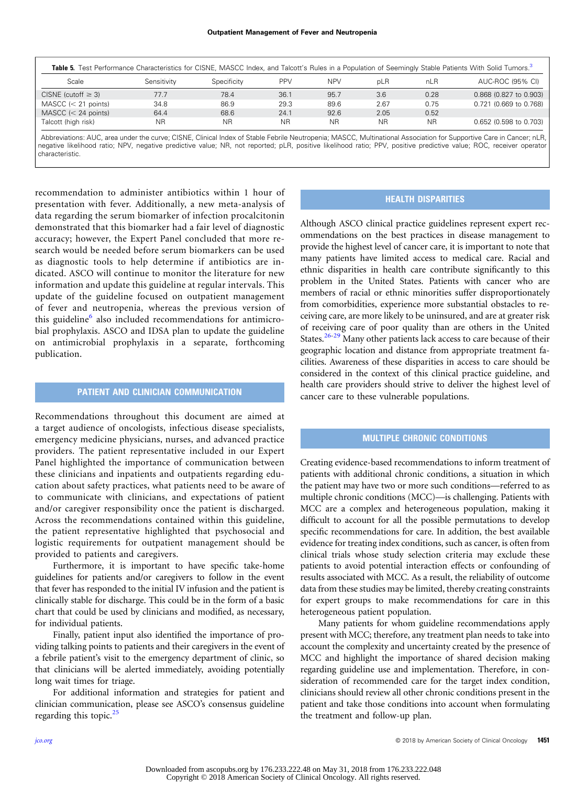#### Outpatient Management of Fever and Neutropenia

<span id="page-8-0"></span>

|                         |             |             |            |            |           |           | Table 5. Test Performance Characteristics for CISNE, MASCC Index, and Talcott's Rules in a Population of Seemingly Stable Patients With Solid Tumors. <sup>3</sup> |
|-------------------------|-------------|-------------|------------|------------|-----------|-----------|--------------------------------------------------------------------------------------------------------------------------------------------------------------------|
| Scale                   | Sensitivity | Specificity | <b>PPV</b> | <b>NPV</b> | nLR       | nLR       | AUC-ROC (95% CI)                                                                                                                                                   |
| CISNE (cutoff $\geq$ 3) | 77.7        | 78.4        | 36.1       | 95.7       | 3.6       | 0.28      | 0.868 (0.827 to 0.903)                                                                                                                                             |
| MASCC $(< 21$ points)   | 34.8        | 86.9        | 29.3       | 89.6       | 2.67      | 0.75      | 0.721 (0.669 to 0.768)                                                                                                                                             |
| MASCC $(< 24$ points)   | 64.4        | 68.6        | 24.1       | 92.6       | 2.05      | 0.52      |                                                                                                                                                                    |
| Talcott (high risk)     | <b>NR</b>   | <b>NR</b>   | <b>NR</b>  | <b>NR</b>  | <b>NR</b> | <b>NR</b> | 0.652 (0.598 to 0.703)                                                                                                                                             |

Abbreviations: AUC, area under the curve; CISNE, Clinical Index of Stable Febrile Neutropenia; MASCC, Multinational Association for Supportive Care in Cancer; nLR, negative likelihood ratio; NPV, negative predictive value; NR, not reported; pLR, positive likelihood ratio; PPV, positive predictive value; ROC, receiver operator characteristic.

recommendation to administer antibiotics within 1 hour of presentation with fever. Additionally, a new meta-analysis of data regarding the serum biomarker of infection procalcitonin demonstrated that this biomarker had a fair level of diagnostic accuracy; however, the Expert Panel concluded that more research would be needed before serum biomarkers can be used as diagnostic tools to help determine if antibiotics are indicated. ASCO will continue to monitor the literature for new information and update this guideline at regular intervals. This update of the guideline focused on outpatient management of fever and neutropenia, whereas the previous version of this guideline $\delta$  also included recommendations for antimicrobial prophylaxis. ASCO and IDSA plan to update the guideline on antimicrobial prophylaxis in a separate, forthcoming publication.

### PATIENT AND CLINICIAN COMMUNICATION

Recommendations throughout this document are aimed at a target audience of oncologists, infectious disease specialists, emergency medicine physicians, nurses, and advanced practice providers. The patient representative included in our Expert Panel highlighted the importance of communication between these clinicians and inpatients and outpatients regarding education about safety practices, what patients need to be aware of to communicate with clinicians, and expectations of patient and/or caregiver responsibility once the patient is discharged. Across the recommendations contained within this guideline, the patient representative highlighted that psychosocial and logistic requirements for outpatient management should be provided to patients and caregivers.

Furthermore, it is important to have specific take-home guidelines for patients and/or caregivers to follow in the event that fever has responded to the initial IV infusion and the patient is clinically stable for discharge. This could be in the form of a basic chart that could be used by clinicians and modified, as necessary, for individual patients.

Finally, patient input also identified the importance of providing talking points to patients and their caregivers in the event of a febrile patient's visit to the emergency department of clinic, so that clinicians will be alerted immediately, avoiding potentially long wait times for triage.

For additional information and strategies for patient and clinician communication, please see ASCO's consensus guideline regarding this topic.<sup>[25](#page-10-0)</sup>

### HEALTH DISPARITIES

Although ASCO clinical practice guidelines represent expert recommendations on the best practices in disease management to provide the highest level of cancer care, it is important to note that many patients have limited access to medical care. Racial and ethnic disparities in health care contribute significantly to this problem in the United States. Patients with cancer who are members of racial or ethnic minorities suffer disproportionately from comorbidities, experience more substantial obstacles to receiving care, are more likely to be uninsured, and are at greater risk of receiving care of poor quality than are others in the United States.<sup>[26-29](#page-10-0)</sup> Many other patients lack access to care because of their geographic location and distance from appropriate treatment facilities. Awareness of these disparities in access to care should be considered in the context of this clinical practice guideline, and health care providers should strive to deliver the highest level of cancer care to these vulnerable populations.

### MULTIPLE CHRONIC CONDITIONS

Creating evidence-based recommendations to inform treatment of patients with additional chronic conditions, a situation in which the patient may have two or more such conditions—referred to as multiple chronic conditions (MCC)—is challenging. Patients with MCC are a complex and heterogeneous population, making it difficult to account for all the possible permutations to develop specific recommendations for care. In addition, the best available evidence for treating index conditions, such as cancer, is often from clinical trials whose study selection criteria may exclude these patients to avoid potential interaction effects or confounding of results associated with MCC. As a result, the reliability of outcome data from these studies may be limited, thereby creating constraints for expert groups to make recommendations for care in this heterogeneous patient population.

Many patients for whom guideline recommendations apply present with MCC; therefore, any treatment plan needs to take into account the complexity and uncertainty created by the presence of MCC and highlight the importance of shared decision making regarding guideline use and implementation. Therefore, in consideration of recommended care for the target index condition, clinicians should review all other chronic conditions present in the patient and take those conditions into account when formulating the treatment and follow-up plan.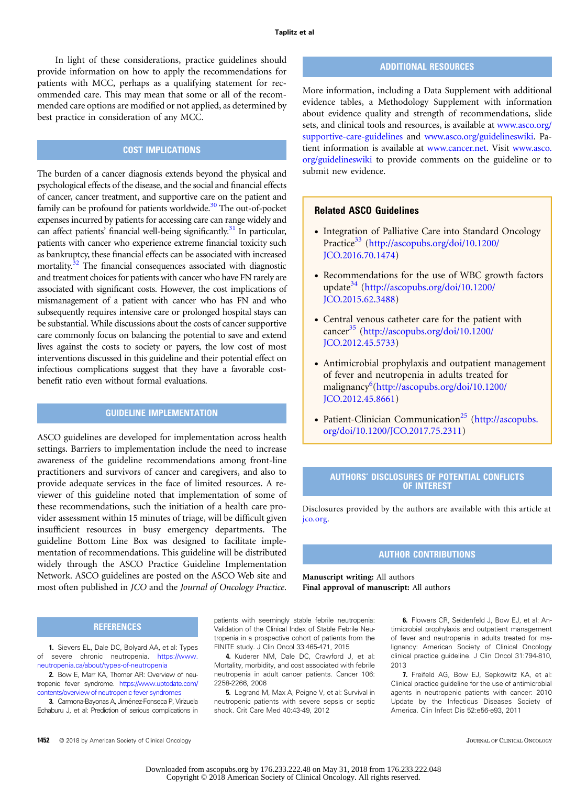<span id="page-9-0"></span>In light of these considerations, practice guidelines should provide information on how to apply the recommendations for patients with MCC, perhaps as a qualifying statement for recommended care. This may mean that some or all of the recommended care options are modified or not applied, as determined by best practice in consideration of any MCC.

## COST IMPLICATIONS

The burden of a cancer diagnosis extends beyond the physical and psychological effects of the disease, and the social and financial effects of cancer, cancer treatment, and supportive care on the patient and family can be profound for patients worldwide. $30$  The out-of-pocket expenses incurred by patients for accessing care can range widely and can affect patients' financial well-being significantly.<sup>31</sup> In particular, patients with cancer who experience extreme financial toxicity such as bankruptcy, these financial effects can be associated with increased mortality.<sup>32</sup> The financial consequences associated with diagnostic and treatment choices for patients with cancer who have FN rarely are associated with significant costs. However, the cost implications of mismanagement of a patient with cancer who has FN and who subsequently requires intensive care or prolonged hospital stays can be substantial. While discussions about the costs of cancer supportive care commonly focus on balancing the potential to save and extend lives against the costs to society or payers, the low cost of most interventions discussed in this guideline and their potential effect on infectious complications suggest that they have a favorable costbenefit ratio even without formal evaluations.

### GUIDELINE IMPLEMENTATION

ASCO guidelines are developed for implementation across health settings. Barriers to implementation include the need to increase awareness of the guideline recommendations among front-line practitioners and survivors of cancer and caregivers, and also to provide adequate services in the face of limited resources. A reviewer of this guideline noted that implementation of some of these recommendations, such the initiation of a health care provider assessment within 15 minutes of triage, will be difficult given insufficient resources in busy emergency departments. The guideline Bottom Line Box was designed to facilitate implementation of recommendations. This guideline will be distributed widely through the ASCO Practice Guideline Implementation Network. ASCO guidelines are posted on the ASCO Web site and most often published in JCO and the Journal of Oncology Practice.

### ADDITIONAL RESOURCES

More information, including a Data Supplement with additional evidence tables, a Methodology Supplement with information about evidence quality and strength of recommendations, slide sets, and clinical tools and resources, is available at [www.asco.org/](http://www.asco.org/supportive-care-guidelines) [supportive-care-guidelines](http://www.asco.org/supportive-care-guidelines) and [www.asco.org/guidelineswiki.](http://www.asco.org/guidelineswiki) Patient information is available at [www.cancer.net.](http://www.cancer.net) Visit [www.asco.](http://www.asco.org/guidelineswiki) [org/guidelineswiki](http://www.asco.org/guidelineswiki) to provide comments on the guideline or to submit new evidence.

### Related ASCO Guidelines

- Integrat[io](#page-10-0)n [of Palliative Care into Standard](http://ascopubs.org/doi/10.1200/JCO.2016.70.1474) Oncology [Practice33](http://ascopubs.org/doi/10.1200/JCO.2016.70.1474) (http://ascopubs.org/doi/10.1200/ JCO.2016.70.1474)
- Reco[mm](#page-10-0)e[ndations for the use of WBC gro](http://ascopubs.org/doi/10.1200/JCO.2015.62.3488)wth factors update<sup>34</sup> [\(http://as](http://ascopubs.org/doi/10.1200/JCO.2015.62.3488)copubs.org/doi/10.1200/ JCO.2015.62.3488)
- Centr[al](#page-10-0) v[enous catheter care for the patien](http://ascopubs.org/doi/10.1200/JCO.2012.45.5733)t with cancer<sup>35</sup> [\(http://as](http://ascopubs.org/doi/10.1200/JCO.2012.45.5733)copubs.org/doi/10.1200/ JCO.2012.45.5733)
- Antimicrobial prophylaxis and outpatient management of fever and [neutropenia in adults treated for](http://ascopubs.org/doi/10.1200/JCO.2012.45.8661) [malignancy](http://ascopubs.org/doi/10.1200/JCO.2012.45.8661)<sup>6</sup>(http://ascopubs.org/doi/10.1200/ JCO.2012.45.8661)
- Patient-Clinician Communication<sup>25</sup> (http://ascopubs. org/doi/10.1200/JCO.2017.75.2311)

#### AUTHORS' DISCLOSURES OF POTENTIAL CONFLICTS OF INTEREST

Disclosures provided by the authors are available with this article at [jco.org](http://jco.org).

### AUTHOR CONTRIBUTIONS

Manuscript writing: All authors Final approval of manuscript: All authors

#### **REFERENCES**

1. Sievers EL, Dale DC, Bolyard AA, et al: Types of severe chronic neutropenia. [https://www.](https://www.neutropenia.ca/about/types-of-neutropenia) [neutropenia.ca/about/types-of-neutropenia](https://www.neutropenia.ca/about/types-of-neutropenia)

2. Bow E, Marr KA, Thorner AR: Overview of neutropenic fever syndrome. [https://www.uptodate.com/](https://www.uptodate.com/contents/overview-of-neutropenic-fever-syndromes) [contents/overview-of-neutropenic-fever-syndromes](https://www.uptodate.com/contents/overview-of-neutropenic-fever-syndromes)

3. Carmona-Bayonas A, Jiménez-Fonseca P, Virizuela Echaburu J, et al: Prediction of serious complications in

patients with seemingly stable febrile neutropenia: Validation of the Clinical Index of Stable Febrile Neutropenia in a prospective cohort of patients from the FINITE study. J Clin Oncol 33:465-471, 2015

4. Kuderer NM, Dale DC, Crawford J, et al: Mortality, morbidity, and cost associated with febrile neutropenia in adult cancer patients. Cancer 106: 2258-2266, 2006

5. Legrand M, Max A, Peigne V, et al: Survival in neutropenic patients with severe sepsis or septic shock. Crit Care Med 40:43-49, 2012

6. Flowers CR, Seidenfeld J, Bow EJ, et al: Antimicrobial prophylaxis and outpatient management of fever and neutropenia in adults treated for malignancy: American Society of Clinical Oncology clinical practice guideline. J Clin Oncol 31:794-810, 2013

7. Freifeld AG, Bow EJ, Sepkowitz KA, et al: Clinical practice guideline for the use of antimicrobial agents in neutropenic patients with cancer: 2010 Update by the Infectious Diseases Society of America. Clin Infect Dis 52:e56-e93, 2011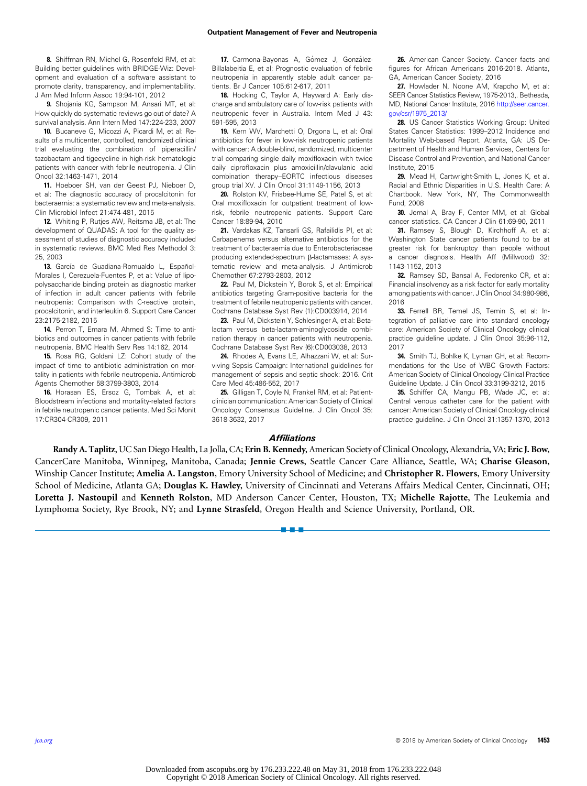<span id="page-10-0"></span>8. Shiffman RN, Michel G, Rosenfeld RM, et al: Building better guidelines with BRIDGE-Wiz: Development and evaluation of a software assistant to promote clarity, transparency, and implementability. J Am Med Inform Assoc 19:94-101, 2012

9. Shojania KG, Sampson M, Ansari MT, et al: How quickly do systematic reviews go out of date? A survival analysis. Ann Intern Med 147:224-233, 2007

10. Bucaneve G, Micozzi A, Picardi M, et al: Results of a multicenter, controlled, randomized clinical trial evaluating the combination of piperacillin/ tazobactam and tigecycline in high-risk hematologic patients with cancer with febrile neutropenia. J Clin Oncol 32:1463-1471, 2014

11. Hoeboer SH, van der Geest PJ, Nieboer D, et al: The diagnostic accuracy of procalcitonin for bacteraemia: a systematic review and meta-analysis. Clin Microbiol Infect 21:474-481, 2015

12. Whiting P, Rutjes AW, Reitsma JB, et al: The development of QUADAS: A tool for the quality assessment of studies of diagnostic accuracy included in systematic reviews. BMC Med Res Methodol 3: 25, 2003

13. García de Guadiana-Romualdo L, Español-Morales I, Cerezuela-Fuentes P, et al: Value of lipopolysaccharide binding protein as diagnostic marker of infection in adult cancer patients with febrile neutropenia: Comparison with C-reactive protein, procalcitonin, and interleukin 6. Support Care Cancer 23:2175-2182, 2015

14. Perron T, Emara M, Ahmed S: Time to antibiotics and outcomes in cancer patients with febrile neutropenia. BMC Health Serv Res 14:162, 2014

15. Rosa RG, Goldani LZ: Cohort study of the impact of time to antibiotic administration on mortality in patients with febrile neutropenia. Antimicrob Agents Chemother 58:3799-3803, 2014

16. Horasan ES, Ersoz G, Tombak A, et al: Bloodstream infections and mortality-related factors in febrile neutropenic cancer patients. Med Sci Monit 17:CR304-CR309, 2011

17. Carmona-Bayonas A, Gómez J, González-Billalabeitia E, et al: Prognostic evaluation of febrile neutropenia in apparently stable adult cancer patients. Br J Cancer 105:612-617, 2011

18. Hocking C, Taylor A, Hayward A: Early discharge and ambulatory care of low-risk patients with neutropenic fever in Australia. Intern Med J 43: 591-595, 2013

19. Kern WV, Marchetti O, Drgona L, et al: Oral antibiotics for fever in low-risk neutropenic patients with cancer: A double-blind, randomized, multicenter trial comparing single daily moxifloxacin with twice daily ciprofloxacin plus amoxicillin/clavulanic acid combination therapy–EORTC infectious diseases group trial XV. J Clin Oncol 31:1149-1156, 2013

20. Rolston KV, Frisbee-Hume SE, Patel S, et al: Oral moxifloxacin for outpatient treatment of lowrisk, febrile neutropenic patients. Support Care Cancer 18:89-94, 2010

21. Vardakas KZ, Tansarli GS, Rafailidis PI, et al: Carbapenems versus alternative antibiotics for the treatment of bacteraemia due to Enterobacteriaceae producing extended-spectrum b-lactamases: A systematic review and meta-analysis. J Antimicrob Chemother 67:2793-2803, 2012

22. Paul M, Dickstein Y, Borok S, et al: Empirical antibiotics targeting Gram-positive bacteria for the treatment of febrile neutropenic patients with cancer. Cochrane Database Syst Rev (1):CD003914, 2014

23. Paul M, Dickstein Y, Schlesinger A, et al: Betalactam versus beta-lactam-aminoglycoside combination therapy in cancer patients with neutropenia. Cochrane Database Syst Rev (6):CD003038, 2013

24. Rhodes A, Evans LE, Alhazzani W, et al: Surviving Sepsis Campaign: International guidelines for management of sepsis and septic shock: 2016. Crit Care Med 45:486-552, 2017

25. Gilligan T, Coyle N, Frankel RM, et al: Patientclinician communication: American Society of Clinical Oncology Consensus Guideline. J Clin Oncol 35: 3618-3632, 2017

26. American Cancer Society. Cancer facts and figures for African Americans 2016-2018. Atlanta, GA, American Cancer Society, 2016

27. Howlader N, Noone AM, Krapcho M, et al: SEER Cancer Statistics Review, 1975-2013,. Bethesda, MD, National Cancer Institute, 2016 [http://seer.cancer.](http://seer.cancer.gov/csr/1975_2013/) [gov/csr/1975\\_2013/](http://seer.cancer.gov/csr/1975_2013/)

28. US Cancer Statistics Working Group: United States Cancer Statistics: 1999–2012 Incidence and Mortality Web-based Report. Atlanta, GA: US Department of Health and Human Services, Centers for Disease Control and Prevention, and National Cancer Institute, 2015

29. Mead H, Cartwright-Smith L, Jones K, et al. Racial and Ethnic Disparities in U.S. Health Care: A Chartbook. New York, NY, The Commonwealth Fund, 2008

30. Jemal A, Bray F, Center MM, et al: Global cancer statistics. CA Cancer J Clin 61:69-90, 2011

31. Ramsey S, Blough D, Kirchhoff A, et al: Washington State cancer patients found to be at greater risk for bankruptcy than people without a cancer diagnosis. Health Aff (Millwood) 32: 1143-1152, 2013

32. Ramsey SD, Bansal A, Fedorenko CR, et al: Financial insolvency as a risk factor for early mortality among patients with cancer. J Clin Oncol 34:980-986, 2016

33. Ferrell BR, Temel JS, Temin S, et al: Integration of palliative care into standard oncology care: American Society of Clinical Oncology clinical practice guideline update. J Clin Oncol 35:96-112, 2017

34. Smith TJ, Bohlke K, Lyman GH, et al: Recommendations for the Use of WBC Growth Factors: American Society of Clinical Oncology Clinical Practice Guideline Update. J Clin Oncol 33:3199-3212, 2015

35. Schiffer CA, Mangu PB, Wade JC, et al: Central venous catheter care for the patient with cancer: American Society of Clinical Oncology clinical practice guideline. J Clin Oncol 31:1357-1370, 2013

#### **Affiliations**

Randy A. Taplitz, UC San Diego Health, La Jolla, CA; Erin B. Kennedy, American Society of Clinical Oncology, Alexandria, VA; Eric J. Bow, CancerCare Manitoba, Winnipeg, Manitoba, Canada; Jennie Crews, Seattle Cancer Care Alliance, Seattle, WA; Charise Gleason, Winship Cancer Institute; Amelia A. Langston, Emory University School of Medicine; and Christopher R. Flowers, Emory University School of Medicine, Atlanta GA; Douglas K. Hawley, University of Cincinnati and Veterans Affairs Medical Center, Cincinnati, OH; Loretta J. Nastoupil and Kenneth Rolston, MD Anderson Cancer Center, Houston, TX; Michelle Rajotte, The Leukemia and Lymphoma Society, Rye Brook, NY; and Lynne Strasfeld, Oregon Health and Science University, Portland, OR.

a - a - a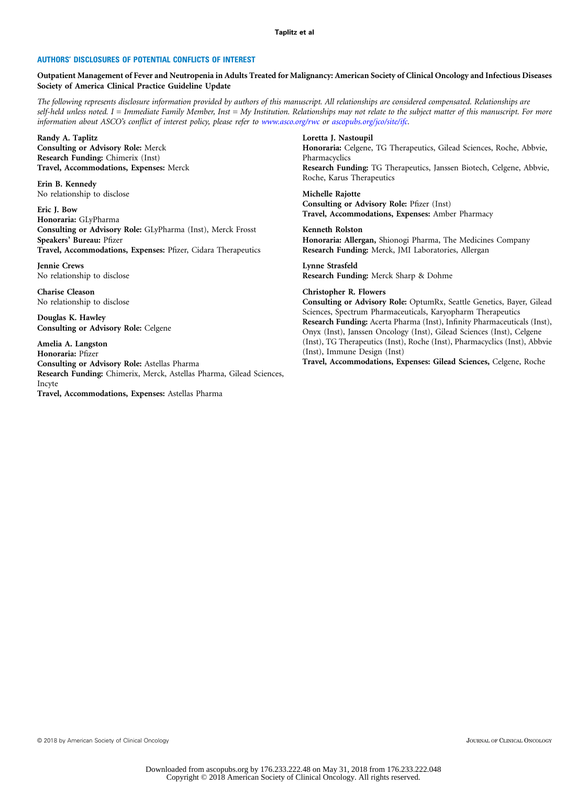#### Taplitz et al

#### AUTHORS' DISCLOSURES OF POTENTIAL CONFLICTS OF INTEREST

### Outpatient Management of Fever and Neutropenia in Adults Treated for Malignancy: American Society of Clinical Oncology and Infectious Diseases Society of America Clinical Practice Guideline Update

The following represents disclosure information provided by authors of this manuscript. All relationships are considered compensated. Relationships are self-held unless noted. I = Immediate Family Member, Inst = My Institution. Relationships may not relate to the subject matter of this manuscript. For more information about ASCO's conflict of interest policy, please refer to [www.asco.org/rwc](http://www.asco.org/rwc) or [ascopubs.org/jco/site/ifc](http://ascopubs.org/jco/site/ifc).

Randy A. Taplitz Consulting or Advisory Role: Merck Research Funding: Chimerix (Inst) Travel, Accommodations, Expenses: Merck

Erin B. Kennedy No relationship to disclose

Eric J. Bow Honoraria: GLyPharma Consulting or Advisory Role: GLyPharma (Inst), Merck Frosst Speakers' Bureau: Pfizer Travel, Accommodations, Expenses: Pfizer, Cidara Therapeutics

Jennie Crews No relationship to disclose

Charise Cleason No relationship to disclose

Douglas K. Hawley Consulting or Advisory Role: Celgene

Amelia A. Langston Honoraria: Pfizer Consulting or Advisory Role: Astellas Pharma Research Funding: Chimerix, Merck, Astellas Pharma, Gilead Sciences, Incyte Travel, Accommodations, Expenses: Astellas Pharma

Loretta J. Nastoupil

Honoraria: Celgene, TG Therapeutics, Gilead Sciences, Roche, Abbvie, Pharmacyclics Research Funding: TG Therapeutics, Janssen Biotech, Celgene, Abbvie, Roche, Karus Therapeutics

Michelle Rajotte Consulting or Advisory Role: Pfizer (Inst) Travel, Accommodations, Expenses: Amber Pharmacy

Kenneth Rolston Honoraria: Allergan, Shionogi Pharma, The Medicines Company Research Funding: Merck, JMI Laboratories, Allergan

Lynne Strasfeld Research Funding: Merck Sharp & Dohme

#### Christopher R. Flowers

Consulting or Advisory Role: OptumRx, Seattle Genetics, Bayer, Gilead Sciences, Spectrum Pharmaceuticals, Karyopharm Therapeutics Research Funding: Acerta Pharma (Inst), Infinity Pharmaceuticals (Inst), Onyx (Inst), Janssen Oncology (Inst), Gilead Sciences (Inst), Celgene (Inst), TG Therapeutics (Inst), Roche (Inst), Pharmacyclics (Inst), Abbvie (Inst), Immune Design (Inst) Travel, Accommodations, Expenses: Gilead Sciences, Celgene, Roche